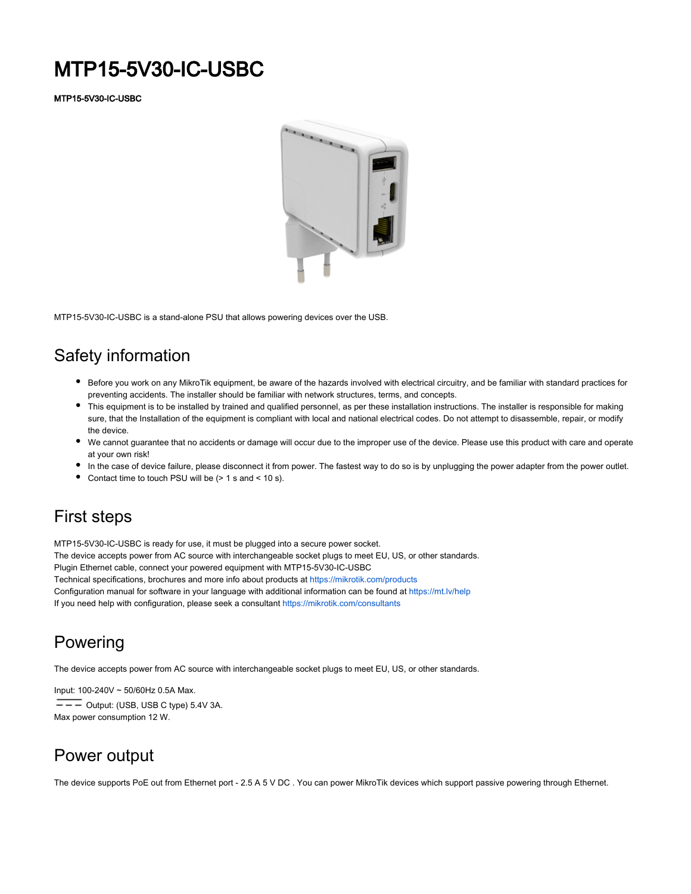# MTP15-5V30-IC-USBC

MTP15-5V30-IC-USBC



MTP15-5V30-IC-USBC is a stand-alone PSU that allows powering devices over the USB.

# Safety information

- Before you work on any MikroTik equipment, be aware of the hazards involved with electrical circuitry, and be familiar with standard practices for preventing accidents. The installer should be familiar with network structures, terms, and concepts.
- This equipment is to be installed by trained and qualified personnel, as per these installation instructions. The installer is responsible for making sure, that the Installation of the equipment is compliant with local and national electrical codes. Do not attempt to disassemble, repair, or modify the device.
- We cannot guarantee that no accidents or damage will occur due to the improper use of the device. Please use this product with care and operate at your own risk!
- In the case of device failure, please disconnect it from power. The fastest way to do so is by unplugging the power adapter from the power outlet.
- Contact time to touch PSU will be (> 1 s and < 10 s).

# First steps

MTP15-5V30-IC-USBC is ready for use, it must be plugged into a secure power socket. The device accepts power from AC source with interchangeable socket plugs to meet EU, US, or other standards. Plugin Ethernet cable, connect your powered equipment with MTP15-5V30-IC-USBC Technical specifications, brochures and more info about products at <https://mikrotik.com/products> Configuration manual for software in your language with additional information can be found at <https://mt.lv/help> If you need help with configuration, please seek a consultant<https://mikrotik.com/consultants>

# Powering

The device accepts power from AC source with interchangeable socket plugs to meet EU, US, or other standards.

Input: 100-240V ~ 50/60Hz 0.5A Max.

 $\overline{\phantom{0}}$  Output: (USB, USB C type) 5.4V 3A. Max power consumption 12 W.

# Power output

The device supports PoE out from Ethernet port - 2.5 A 5 V DC . You can power MikroTik devices which support passive powering through Ethernet.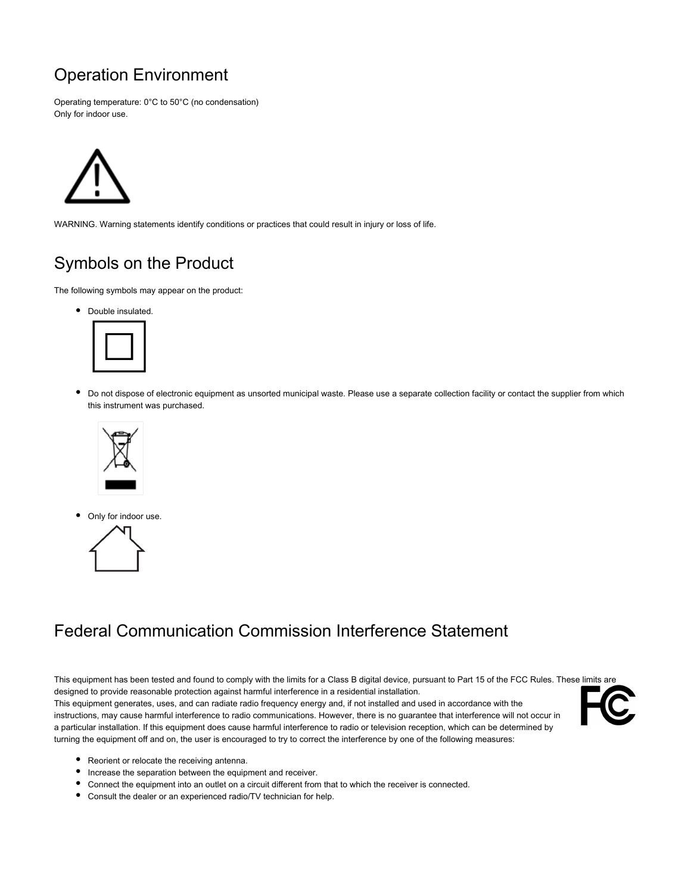# Operation Environment

Operating temperature: 0°C to 50°C (no condensation) Only for indoor use.



WARNING. Warning statements identify conditions or practices that could result in injury or loss of life.

# Symbols on the Product

The following symbols may appear on the product:

• Double insulated.



 $\bullet$ Do not dispose of electronic equipment as unsorted municipal waste. Please use a separate collection facility or contact the supplier from which this instrument was purchased.



Only for indoor use.



# Federal Communication Commission Interference Statement

This equipment has been tested and found to comply with the limits for a Class B digital device, pursuant to Part 15 of the FCC Rules. These limits are designed to provide reasonable protection against harmful interference in a residential installation. This equipment generates, uses, and can radiate radio frequency energy and, if not installed and used in accordance with the instructions, may cause harmful interference to radio communications. However, there is no guarantee that interference will not occur in a particular installation. If this equipment does cause harmful interference to radio or television reception, which can be determined by turning the equipment off and on, the user is encouraged to try to correct the interference by one of the following measures:



- Reorient or relocate the receiving antenna.
- Increase the separation between the equipment and receiver.
- Connect the equipment into an outlet on a circuit different from that to which the receiver is connected.
- Consult the dealer or an experienced radio/TV technician for help.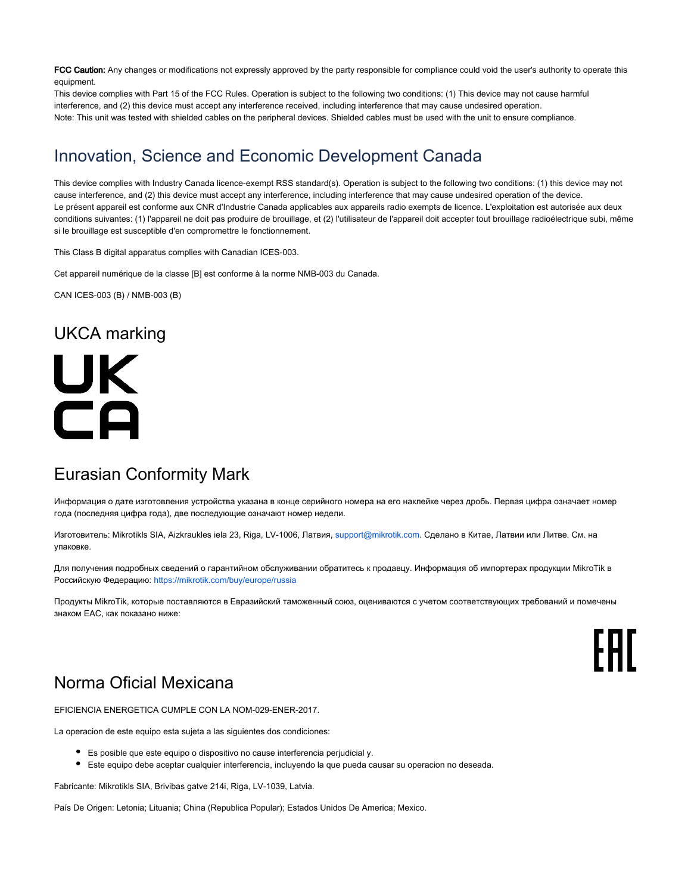FCC Caution: Any changes or modifications not expressly approved by the party responsible for compliance could void the user's authority to operate this equipment.

This device complies with Part 15 of the FCC Rules. Operation is subject to the following two conditions: (1) This device may not cause harmful interference, and (2) this device must accept any interference received, including interference that may cause undesired operation. Note: This unit was tested with shielded cables on the peripheral devices. Shielded cables must be used with the unit to ensure compliance.

#### Innovation, Science and Economic Development Canada

This device complies with Industry Canada licence-exempt RSS standard(s). Operation is subject to the following two conditions: (1) this device may not cause interference, and (2) this device must accept any interference, including interference that may cause undesired operation of the device. Le présent appareil est conforme aux CNR d'Industrie Canada applicables aux appareils radio exempts de licence. L'exploitation est autorisée aux deux conditions suivantes: (1) l'appareil ne doit pas produire de brouillage, et (2) l'utilisateur de l'appareil doit accepter tout brouillage radioélectrique subi, même si le brouillage est susceptible d'en compromettre le fonctionnement.

This Class B digital apparatus complies with Canadian ICES-003.

Cet appareil numérique de la classe [B] est conforme à la norme NMB-003 du Canada.

CAN ICES-003 (B) / NMB-003 (B)

#### UKCA marking

# UK CA

# Eurasian Conformity Mark

Информация о дате изготовления устройства указана в конце серийного номера на его наклейке через дробь. Первая цифра означает номер года (последняя цифра года), две последующие означают номер недели.

Изготовитель: Mikrotikls SIA, Aizkraukles iela 23, Riga, LV-1006, Латвия, [support@mikrotik.com.](mailto:support@mikrotik.com) Сделано в Китае, Латвии или Литве. Cм. на упаковке.

Для получения подробных сведений о гарантийном обслуживании обратитесь к продавцу. Информация об импортерах продукции MikroTik в Российскую Федерацию: <https://mikrotik.com/buy/europe/russia>

Продукты MikroTik, которые поставляются в Евразийский таможенный союз, оцениваются с учетом соответствующих требований и помечены знаком EAC, как показано ниже:

FAL

# Norma Oficial Mexicana

EFICIENCIA ENERGETICA CUMPLE CON LA NOM-029-ENER-2017.

La operacion de este equipo esta sujeta a las siguientes dos condiciones:

- Es posible que este equipo o dispositivo no cause interferencia perjudicial y.
- Este equipo debe aceptar cualquier interferencia, incluyendo la que pueda causar su operacion no deseada.

Fabricante: Mikrotikls SIA, Brivibas gatve 214i, Riga, LV-1039, Latvia.

País De Origen: Letonia; Lituania; China (Republica Popular); Estados Unidos De America; Mexico.